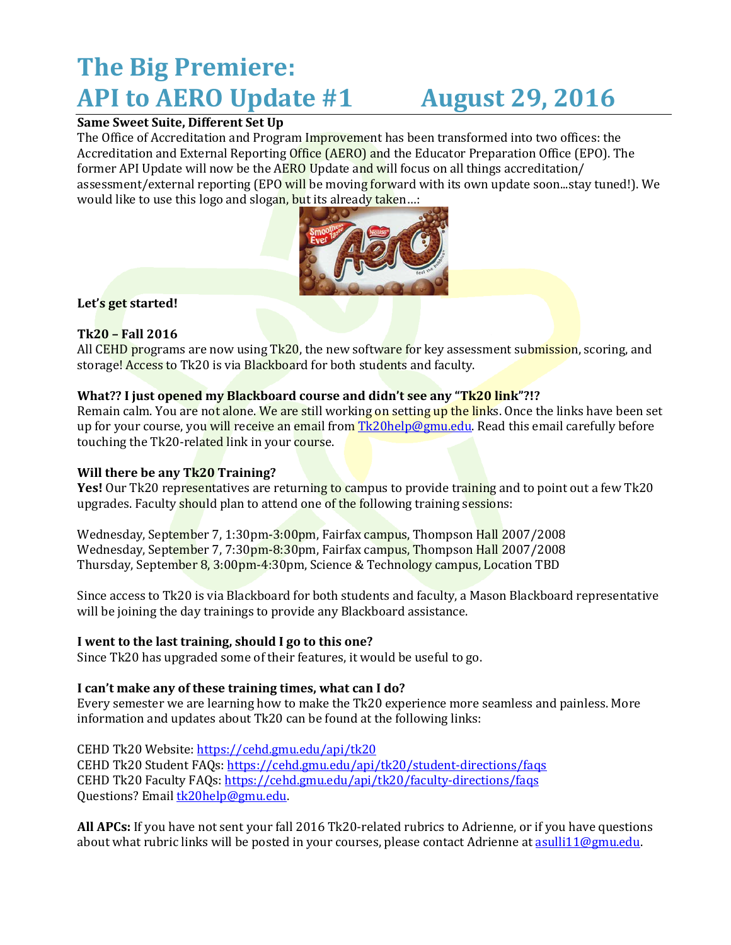# **The Big Premiere: API to AERO Update #1 August 29, 2016**

# **Same Sweet Suite, Different Set Up**

The Office of Accreditation and Program Improvement has been transformed into two offices: the Accreditation and External Reporting Office (AERO) and the Educator Preparation Office (EPO). The former API Update will now be the AERO Update and will focus on all things accreditation/ assessment/external reporting (EPO will be moving forward with its own update soon...stay tuned!). We would like to use this logo and slogan, but its already taken...:



### **Let's get started!**

# **Tk20 – Fall 2016**

All CEHD programs are now using Tk20, the new software for key assessment submission, scoring, and storage! Access to Tk20 is via Blackboard for both students and faculty.

### **What?? I just opened my Blackboard course and didn't see any "Tk20 link"?!?**

Remain calm. You are not alone. We are still working on setting up the links. Once the links have been set up for your course, you will receive an email from [Tk20help@gmu.edu.](mailto:Tk20help@gmu.edu) Read this email carefully before touching the Tk20-related link in your course.

# **Will there be any Tk20 Training?**

**Yes!** Our Tk20 representatives are returning to campus to provide training and to point out a few Tk20 upgrades. Faculty should plan to attend one of the following training sessions:

Wednesday, September 7, 1:30pm-3:00pm, Fairfax campus, Thompson Hall 2007/2008 Wednesday, September 7, 7:30pm-8:30pm, Fairfax campus, Thompson Hall 2007/2008 Thursday, September 8, 3:00pm-4:30pm, Science & Technology campus, Location TBD

Since access to Tk20 is via Blackboard for both students and faculty, a Mason Blackboard representative will be joining the day trainings to provide any Blackboard assistance.

#### **I went to the last training, should I go to this one?**

Since Tk20 has upgraded some of their features, it would be useful to go.

#### **I can't make any of these training times, what can I do?**

Every semester we are learning how to make the Tk20 experience more seamless and painless. More information and updates about Tk20 can be found at the following links:

CEHD Tk20 Website:<https://cehd.gmu.edu/api/tk20> CEHD Tk20 Student FAQs[: https://cehd.gmu.edu/api/tk20/student-directions/faqs](https://cehd.gmu.edu/api/tk20/student-directions/faqs) CEHD Tk20 Faculty FAQs[: https://cehd.gmu.edu/api/tk20/faculty-directions/faqs](https://cehd.gmu.edu/api/tk20/faculty-directions/faqs) Questions? Email [tk20help@gmu.edu.](mailto:tk20help@gmu.edu)

**All APCs:** If you have not sent your fall 2016 Tk20-related rubrics to Adrienne, or if you have questions about what rubric links will be posted in your courses, please contact Adrienne at asulli 11@gmu.edu.